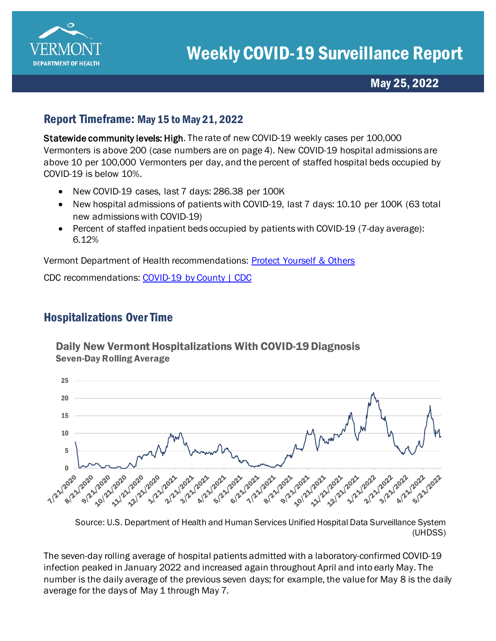

# May 25, 2022

## Report Timeframe: May 15 to May 21, 2022

Statewide community levels: High. The rate of new COVID-19 weekly cases per 100,000 Vermonters is above 200 (case numbers are on page 4). New COVID-19 hospital admissions are above 10 per 100,000 Vermonters per day, and the percent of staffed hospital beds occupied by COVID-19 is below 10%.

- New COVID-19 cases, last 7 days: 286.38 per 100K
- New hospital admissions of patients with COVID-19, last 7 days: 10.10 per 100K (63 total new admissions with COVID-19)
- Percent of staffed inpatient beds occupied by patients with COVID-19 (7-day average): 6.12%

Vermont Department of Health recommendations: [Protect Yourself & Others](https://www.healthvermont.gov/covid-19/protect-yourself-others) 

CDC recommendations: [COVID-19 by County | CDC](https://www.cdc.gov/coronavirus/2019-ncov/your-health/covid-by-county.html)

### Hospitalizations Over Time

Daily New Vermont Hospitalizations With COVID-19 Diagnosis Seven-Day Rolling Average



Source: U.S. Department of Health and Human Services Unified Hospital Data Surveillance System (UHDSS)

The seven-day rolling average of hospital patients admitted with a laboratory-confirmed COVID-19 infection peaked in January 2022 and increased again throughout April and into early May. The number is the daily average of the previous seven days; for example, the value for May 8 is the daily average for the days of May 1 through May 7.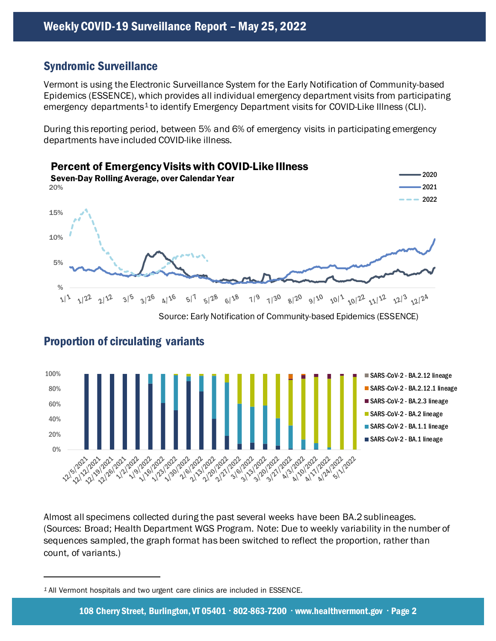## Syndromic Surveillance

Vermont is using the Electronic Surveillance System for the Early Notification of Community-based Epidemics (ESSENCE), which provides all individual emergency department visits from participating emergency departments<sup>1</sup> to identify Emergency Department visits for COVID-Like Illness (CLI).

During this reporting period, between 5% and 6% of emergency visits in participating emergency departments have included COVID-like illness.



Source: Early Notification of Community-based Epidemics (ESSENCE)



#### Proportion of circulating variants

Almost all specimens collected during the past several weeks have been BA.2 sublineages. (Sources: Broad; Health Department WGS Program. Note: Due to weekly variability in the number of sequences sampled, the graph format has been switched to reflect the proportion, rather than count, of variants.)

<span id="page-1-0"></span>*<sup>1</sup>* All Vermont hospitals and two urgent care clinics are included in ESSENCE.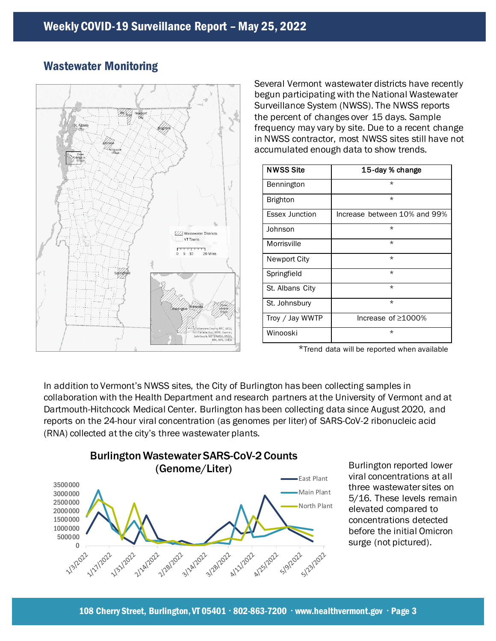

# Wastewater Monitoring

Several Vermont wastewater districts have recently begun participating with the National Wastewater Surveillance System (NWSS). The NWSS reports the percent of changes over 15 days. Sample frequency may vary by site. Due to a recent change in NWSS contractor, most NWSS sites still have not accumulated enough data to show trends.

| <b>NWSS Site</b>      | 15-day % change              |
|-----------------------|------------------------------|
| Bennington            | $\star$                      |
| <b>Brighton</b>       | $\star$                      |
| <b>Essex Junction</b> | Increase between 10% and 99% |
| Johnson               | $\star$                      |
| Morrisville           | $\star$                      |
| Newport City          | $\star$                      |
| Springfield           | $\star$                      |
| St. Albans City       | $\star$                      |
| St. Johnsbury         | $\star$                      |
| Troy / Jay WWTP       | Increase of $\geq$ 1000%     |
| Winooski              | $\star$                      |

\*Trend data will be reported when available

In addition to Vermont's NWSS sites, the City of Burlington has been collecting samples in collaboration with the Health Department and research partners at the University of Vermont and at Dartmouth-Hitchcock Medical Center. Burlington has been collecting data since August 2020, and reports on the 24-hour viral concentration (as genomes per liter) of SARS-CoV-2 ribonucleic acid (RNA) collected at the city's three wastewater plants.



Burlington reported lower viral concentrations at all three wastewater sites on 5/16. These levels remain elevated compared to concentrations detected before the initial Omicron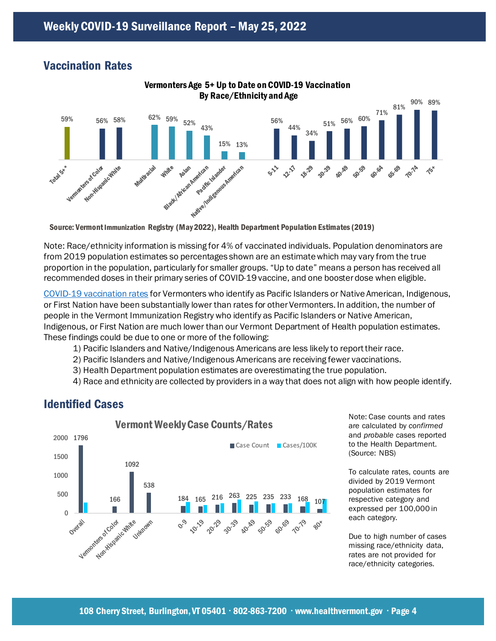### Vaccination Rates



Vermonters Age 5+ Up to Date on COVID-19 Vaccination

Note: Race/ethnicity information is missing for 4% of vaccinated individuals. Population denominators are from 2019 population estimates so percentages shown are an estimate which may vary from the true proportion in the population, particularly for smaller groups. "Up to date" means a person has received all recommended doses in their primary series of COVID-19 vaccine, and one booster dose when eligible.

[COVID-19 vaccination rates](https://www.healthvermont.gov/covid-19/vaccine/covid-19-vaccine-dashboard) for Vermonters who identify as Pacific Islanders or Native American, Indigenous, or First Nation have been substantially lower than rates for other Vermonters. In addition, the number of people in the Vermont Immunization Registry who identify as Pacific Islanders or Native American, Indigenous, or First Nation are much lower than our Vermont Department of Health population estimates. These findings could be due to one or more of the following:

- 1) Pacific Islanders and Native/Indigenous Americans are less likely to report their race.
- 2) Pacific Islanders and Native/Indigenous Americans are receiving fewer vaccinations.
- 3) Health Department population estimates are overestimating the true population.
- 4) Race and ethnicity are collected by providers in a way that does not align with how people identify.

#### Identified Cases



Note: Case counts and rates are calculated by *confirmed* and *probable* cases reported to the Health Department. (Source: NBS)

To calculate rates, counts are divided by 2019 Vermont population estimates for respective category and expressed per 100,000 in each category.

Due to high number of cases missing race/ethnicity data, rates are not provided for race/ethnicity categories.